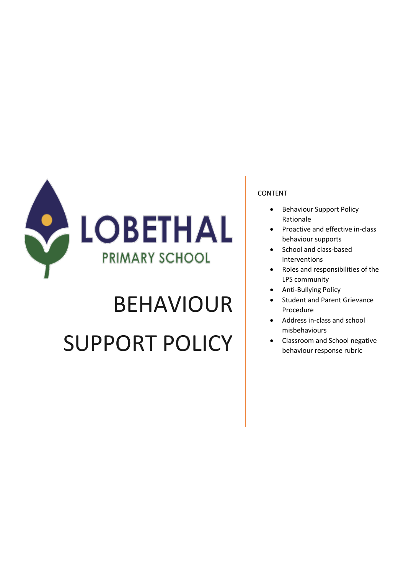

# BEHAVIOUR SUPPORT POLICY

#### CONTENT

- Behaviour Support Policy Rationale
- Proactive and effective in-class behaviour supports
- School and class-based interventions
- Roles and responsibilities of the LPS community
- Anti-Bullying Policy
- Student and Parent Grievance Procedure
- Address in-class and school misbehaviours
- Classroom and School negative behaviour response rubric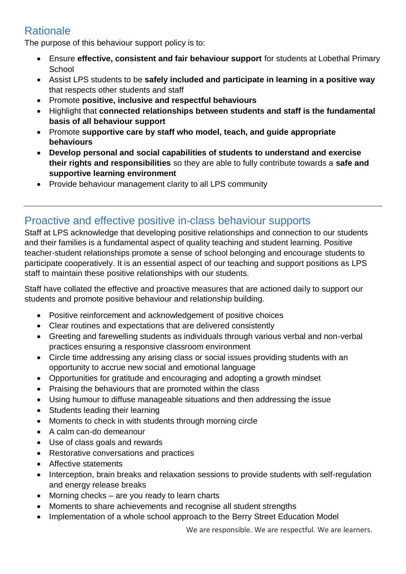# **Rationale**

The purpose of this behaviour support policy is to:

- Ensure **effective, consistent and fair behaviour support** for students at Lobethal Primary **School**
- Assist LPS students to be **safely included and participate in learning in a positive way** that respects other students and staff
- Promote **positive, inclusive and respectful behaviours**
- Highlight that **connected relationships between students and staff is the fundamental basis of all behaviour support**
- Promote **supportive care by staff who model, teach, and guide appropriate behaviours**
- **Develop personal and social capabilities of students to understand and exercise their rights and responsibilities** so they are able to fully contribute towards a **safe and supportive learning environment**
- Provide behaviour management clarity to all LPS community

## Proactive and effective positive in-class behaviour supports

Staff at LPS acknowledge that developing positive relationships and connection to our students and their families is a fundamental aspect of quality teaching and student learning. Positive teacher-student relationships promote a sense of school belonging and encourage students to participate cooperatively. It is an essential aspect of our teaching and support positions as LPS staff to maintain these positive relationships with our students.

Staff have collated the effective and proactive measures that are actioned daily to support our students and promote positive behaviour and relationship building.

- Positive reinforcement and acknowledgement of positive choices
- Clear routines and expectations that are delivered consistently
- Greeting and farewelling students as individuals through various verbal and non-verbal practices ensuring a responsive classroom environment
- Circle time addressing any arising class or social issues providing students with an opportunity to accrue new social and emotional language
- Opportunities for gratitude and encouraging and adopting a growth mindset
- Praising the behaviours that are promoted within the class
- Using humour to diffuse manageable situations and then addressing the issue
- Students leading their learning
- Moments to check in with students through morning circle
- A calm can-do demeanour
- Use of class goals and rewards
- Restorative conversations and practices
- Affective statements
- Interception, brain breaks and relaxation sessions to provide students with self-regulation and energy release breaks
- $\bullet$  Morning checks are you ready to learn charts
- Moments to share achievements and recognise all student strengths
- Implementation of a whole school approach to the Berry Street Education Model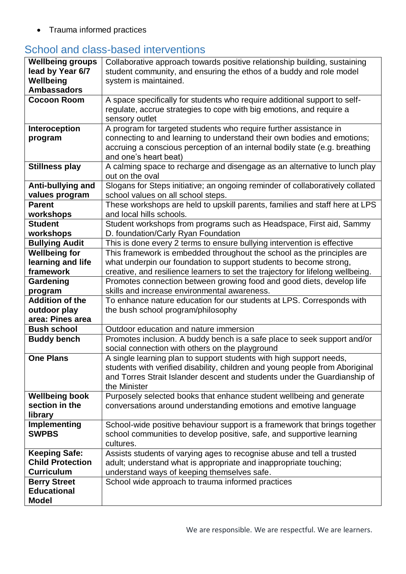• Trauma informed practices

# School and class-based interventions

| <b>Wellbeing groups</b>     | Collaborative approach towards positive relationship building, sustaining                                                                                |
|-----------------------------|----------------------------------------------------------------------------------------------------------------------------------------------------------|
| lead by Year 6/7            | student community, and ensuring the ethos of a buddy and role model                                                                                      |
| Wellbeing                   | system is maintained.                                                                                                                                    |
| <b>Ambassadors</b>          |                                                                                                                                                          |
| <b>Cocoon Room</b>          | A space specifically for students who require additional support to self-                                                                                |
|                             | regulate, accrue strategies to cope with big emotions, and require a                                                                                     |
|                             | sensory outlet                                                                                                                                           |
| Interoception               | A program for targeted students who require further assistance in                                                                                        |
| program                     | connecting to and learning to understand their own bodies and emotions;                                                                                  |
|                             | accruing a conscious perception of an internal bodily state (e.g. breathing                                                                              |
|                             | and one's heart beat)                                                                                                                                    |
| <b>Stillness play</b>       | A calming space to recharge and disengage as an alternative to lunch play                                                                                |
|                             | out on the oval                                                                                                                                          |
| Anti-bullying and           | Slogans for Steps initiative; an ongoing reminder of collaboratively collated                                                                            |
| values program              | school values on all school steps.                                                                                                                       |
| <b>Parent</b>               | These workshops are held to upskill parents, families and staff here at LPS                                                                              |
| workshops<br><b>Student</b> | and local hills schools.                                                                                                                                 |
| workshops                   | Student workshops from programs such as Headspace, First aid, Sammy                                                                                      |
| <b>Bullying Audit</b>       | D. foundation/Carly Ryan Foundation                                                                                                                      |
| <b>Wellbeing for</b>        | This is done every 2 terms to ensure bullying intervention is effective<br>This framework is embedded throughout the school as the principles are        |
| learning and life           |                                                                                                                                                          |
| framework                   | what underpin our foundation to support students to become strong,                                                                                       |
| Gardening                   | creative, and resilience learners to set the trajectory for lifelong wellbeing.<br>Promotes connection between growing food and good diets, develop life |
| program                     | skills and increase environmental awareness.                                                                                                             |
| <b>Addition of the</b>      | To enhance nature education for our students at LPS. Corresponds with                                                                                    |
| outdoor play                | the bush school program/philosophy                                                                                                                       |
| area: Pines area            |                                                                                                                                                          |
| <b>Bush school</b>          | Outdoor education and nature immersion                                                                                                                   |
| <b>Buddy bench</b>          | Promotes inclusion. A buddy bench is a safe place to seek support and/or                                                                                 |
|                             | social connection with others on the playground                                                                                                          |
| <b>One Plans</b>            | A single learning plan to support students with high support needs,                                                                                      |
|                             | students with verified disability, children and young people from Aboriginal                                                                             |
|                             | and Torres Strait Islander descent and students under the Guardianship of                                                                                |
|                             | the Minister                                                                                                                                             |
| <b>Wellbeing book</b>       | Purposely selected books that enhance student wellbeing and generate                                                                                     |
| section in the              | conversations around understanding emotions and emotive language                                                                                         |
| library                     |                                                                                                                                                          |
| Implementing                | School-wide positive behaviour support is a framework that brings together                                                                               |
| <b>SWPBS</b>                | school communities to develop positive, safe, and supportive learning                                                                                    |
|                             | cultures.                                                                                                                                                |
| <b>Keeping Safe:</b>        | Assists students of varying ages to recognise abuse and tell a trusted                                                                                   |
| <b>Child Protection</b>     | adult; understand what is appropriate and inappropriate touching;                                                                                        |
| <b>Curriculum</b>           | understand ways of keeping themselves safe.                                                                                                              |
| <b>Berry Street</b>         | School wide approach to trauma informed practices                                                                                                        |
| <b>Educational</b>          |                                                                                                                                                          |
| <b>Model</b>                |                                                                                                                                                          |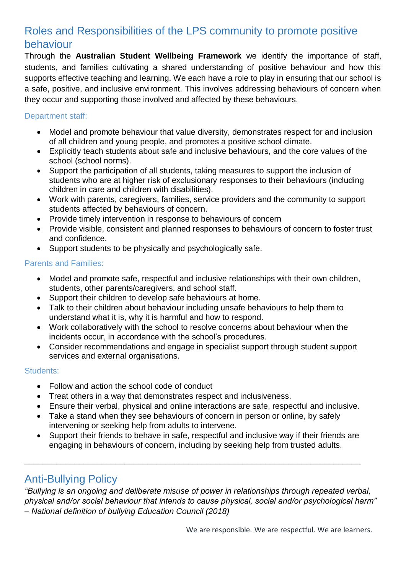# Roles and Responsibilities of the LPS community to promote positive behaviour

Through the **Australian Student Wellbeing Framework** we identify the importance of staff, students, and families cultivating a shared understanding of positive behaviour and how this supports effective teaching and learning. We each have a role to play in ensuring that our school is a safe, positive, and inclusive environment. This involves addressing behaviours of concern when they occur and supporting those involved and affected by these behaviours.

#### Department staff:

- Model and promote behaviour that value diversity, demonstrates respect for and inclusion of all children and young people, and promotes a positive school climate.
- Explicitly teach students about safe and inclusive behaviours, and the core values of the school (school norms).
- Support the participation of all students, taking measures to support the inclusion of students who are at higher risk of exclusionary responses to their behaviours (including children in care and children with disabilities).
- Work with parents, caregivers, families, service providers and the community to support students affected by behaviours of concern.
- Provide timely intervention in response to behaviours of concern
- Provide visible, consistent and planned responses to behaviours of concern to foster trust and confidence.
- Support students to be physically and psychologically safe.

#### Parents and Families:

- Model and promote safe, respectful and inclusive relationships with their own children, students, other parents/caregivers, and school staff.
- Support their children to develop safe behaviours at home.
- Talk to their children about behaviour including unsafe behaviours to help them to understand what it is, why it is harmful and how to respond.
- Work collaboratively with the school to resolve concerns about behaviour when the incidents occur, in accordance with the school's procedures.
- Consider recommendations and engage in specialist support through student support services and external organisations.

#### Students:

- Follow and action the school code of conduct
- Treat others in a way that demonstrates respect and inclusiveness.
- Ensure their verbal, physical and online interactions are safe, respectful and inclusive.
- Take a stand when they see behaviours of concern in person or online, by safely intervening or seeking help from adults to intervene.
- Support their friends to behave in safe, respectful and inclusive way if their friends are engaging in behaviours of concern, including by seeking help from trusted adults.

\_\_\_\_\_\_\_\_\_\_\_\_\_\_\_\_\_\_\_\_\_\_\_\_\_\_\_\_\_\_\_\_\_\_\_\_\_\_\_\_\_\_\_\_\_\_\_\_\_\_\_\_\_\_\_\_\_\_\_\_\_\_\_\_\_\_\_\_\_\_\_\_\_\_

## Anti-Bullying Policy

*"Bullying is an ongoing and deliberate misuse of power in relationships through repeated verbal, physical and/or social behaviour that intends to cause physical, social and/or psychological harm" – National definition of bullying Education Council (2018)*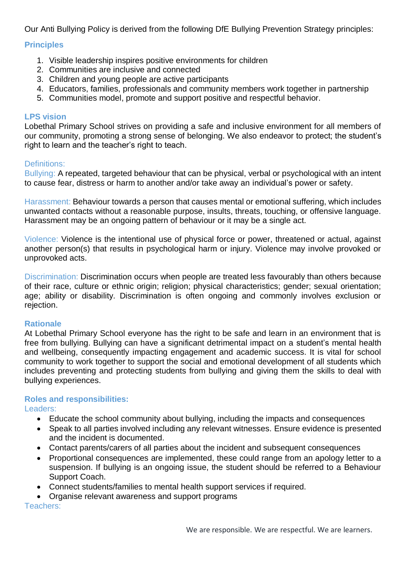Our Anti Bullying Policy is derived from the following DfE Bullying Prevention Strategy principles:

#### **Principles**

- 1. Visible leadership inspires positive environments for children
- 2. Communities are inclusive and connected
- 3. Children and young people are active participants
- 4. Educators, families, professionals and community members work together in partnership
- 5. Communities model, promote and support positive and respectful behavior.

#### **LPS vision**

Lobethal Primary School strives on providing a safe and inclusive environment for all members of our community, promoting a strong sense of belonging. We also endeavor to protect; the student's right to learn and the teacher's right to teach.

#### Definitions:

Bullying: A repeated, targeted behaviour that can be physical, verbal or psychological with an intent to cause fear, distress or harm to another and/or take away an individual's power or safety.

Harassment: Behaviour towards a person that causes mental or emotional suffering, which includes unwanted contacts without a reasonable purpose, insults, threats, touching, or offensive language. Harassment may be an ongoing pattern of behaviour or it may be a single act.

Violence: Violence is the intentional use of physical force or power, threatened or actual, against another person(s) that results in psychological harm or injury. Violence may involve provoked or unprovoked acts.

Discrimination: Discrimination occurs when people are treated less favourably than others because of their race, culture or ethnic origin; religion; physical characteristics; gender; sexual orientation; age; ability or disability. Discrimination is often ongoing and commonly involves exclusion or rejection.

#### **Rationale**

At Lobethal Primary School everyone has the right to be safe and learn in an environment that is free from bullying. Bullying can have a significant detrimental impact on a student's mental health and wellbeing, consequently impacting engagement and academic success. It is vital for school community to work together to support the social and emotional development of all students which includes preventing and protecting students from bullying and giving them the skills to deal with bullying experiences.

## **Roles and responsibilities:**

Leaders:

- Educate the school community about bullying, including the impacts and consequences
- Speak to all parties involved including any relevant witnesses. Ensure evidence is presented and the incident is documented.
- Contact parents/carers of all parties about the incident and subsequent consequences
- Proportional consequences are implemented, these could range from an apology letter to a suspension. If bullying is an ongoing issue, the student should be referred to a Behaviour Support Coach.
- Connect students/families to mental health support services if required.
- Organise relevant awareness and support programs

Teachers: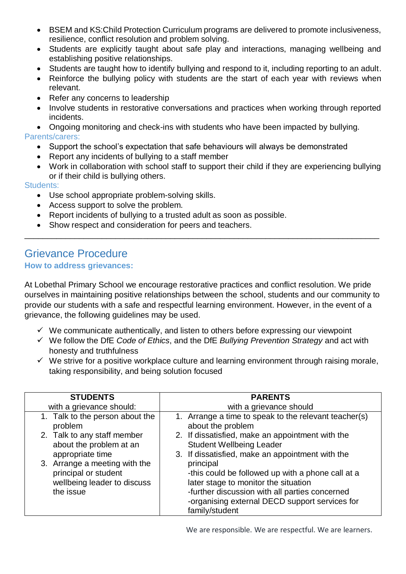- BSEM and KS: Child Protection Curriculum programs are delivered to promote inclusiveness, resilience, conflict resolution and problem solving.
- Students are explicitly taught about safe play and interactions, managing wellbeing and establishing positive relationships.
- Students are taught how to identify bullying and respond to it, including reporting to an adult.
- Reinforce the bullying policy with students are the start of each year with reviews when relevant.
- Refer any concerns to leadership
- Involve students in restorative conversations and practices when working through reported incidents.

• Ongoing monitoring and check-ins with students who have been impacted by bullying. Parents/carers:

- Support the school's expectation that safe behaviours will always be demonstrated
- Report any incidents of bullying to a staff member
- Work in collaboration with school staff to support their child if they are experiencing bullying or if their child is bullying others.

#### Students:

- Use school appropriate problem-solving skills.
- Access support to solve the problem.
- Report incidents of bullying to a trusted adult as soon as possible.
- Show respect and consideration for peers and teachers.

### Grievance Procedure **How to address grievances:**

At Lobethal Primary School we encourage restorative practices and conflict resolution. We pride ourselves in maintaining positive relationships between the school, students and our community to provide our students with a safe and respectful learning environment. However, in the event of a grievance, the following guidelines may be used.

\_\_\_\_\_\_\_\_\_\_\_\_\_\_\_\_\_\_\_\_\_\_\_\_\_\_\_\_\_\_\_\_\_\_\_\_\_\_\_\_\_\_\_\_\_\_\_\_\_\_\_\_\_\_\_\_\_\_\_\_\_\_\_\_\_\_\_\_\_\_\_\_\_\_\_\_\_\_

- $\checkmark$  We communicate authentically, and listen to others before expressing our viewpoint
- We follow the DfE *Code of Ethics*, and the DfE *Bullying Prevention Strategy* and act with honesty and truthfulness
- $\checkmark$  We strive for a positive workplace culture and learning environment through raising morale, taking responsibility, and being solution focused

| <b>STUDENTS</b>                                                                                                                                                                                                               | <b>PARENTS</b>                                                                                                                                                                                                                                                                                                                                                                                                                                        |
|-------------------------------------------------------------------------------------------------------------------------------------------------------------------------------------------------------------------------------|-------------------------------------------------------------------------------------------------------------------------------------------------------------------------------------------------------------------------------------------------------------------------------------------------------------------------------------------------------------------------------------------------------------------------------------------------------|
| with a grievance should:                                                                                                                                                                                                      | with a grievance should                                                                                                                                                                                                                                                                                                                                                                                                                               |
| 1. Talk to the person about the<br>problem<br>2. Talk to any staff member<br>about the problem at an<br>appropriate time<br>3. Arrange a meeting with the<br>principal or student<br>wellbeing leader to discuss<br>the issue | 1. Arrange a time to speak to the relevant teacher(s)<br>about the problem<br>2. If dissatisfied, make an appointment with the<br><b>Student Wellbeing Leader</b><br>3. If dissatisfied, make an appointment with the<br>principal<br>-this could be followed up with a phone call at a<br>later stage to monitor the situation<br>-further discussion with all parties concerned<br>-organising external DECD support services for<br>family/student |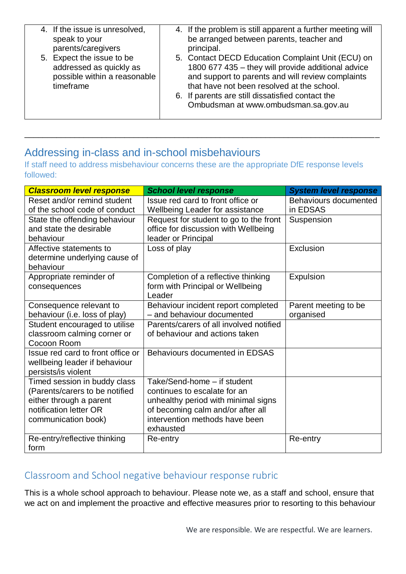| speak to your | 4. If the issue is unresolved,<br>parents/caregivers                                 | 4. If the problem is still apparent a further meeting will<br>be arranged between parents, teacher and<br>principal.                                                                                                                                                                                   |
|---------------|--------------------------------------------------------------------------------------|--------------------------------------------------------------------------------------------------------------------------------------------------------------------------------------------------------------------------------------------------------------------------------------------------------|
| timeframe     | 5. Expect the issue to be<br>addressed as quickly as<br>possible within a reasonable | 5. Contact DECD Education Complaint Unit (ECU) on<br>1800 677 435 - they will provide additional advice<br>and support to parents and will review complaints<br>that have not been resolved at the school.<br>6. If parents are still dissatisfied contact the<br>Ombudsman at www.ombudsman.sa.gov.au |

# Addressing in-class and in-school misbehaviours

If staff need to address misbehaviour concerns these are the appropriate DfE response levels followed:

\_\_\_\_\_\_\_\_\_\_\_\_\_\_\_\_\_\_\_\_\_\_\_\_\_\_\_\_\_\_\_\_\_\_\_\_\_\_\_\_\_\_\_\_\_\_\_\_\_\_\_\_\_\_\_\_\_\_\_\_\_\_\_\_\_\_\_\_\_\_\_\_\_\_\_\_\_\_

| <b>Classroom level response</b>   | <b>School level response</b>            | <b>System level response</b> |
|-----------------------------------|-----------------------------------------|------------------------------|
| Reset and/or remind student       | Issue red card to front office or       | Behaviours documented        |
| of the school code of conduct     | <b>Wellbeing Leader for assistance</b>  | in EDSAS                     |
| State the offending behaviour     | Request for student to go to the front  | Suspension                   |
| and state the desirable           | office for discussion with Wellbeing    |                              |
| behaviour                         | leader or Principal                     |                              |
| Affective statements to           | Loss of play                            | Exclusion                    |
| determine underlying cause of     |                                         |                              |
| behaviour                         |                                         |                              |
| Appropriate reminder of           | Completion of a reflective thinking     | Expulsion                    |
| consequences                      | form with Principal or Wellbeing        |                              |
|                                   | Leader                                  |                              |
| Consequence relevant to           | Behaviour incident report completed     | Parent meeting to be         |
| behaviour (i.e. loss of play)     | - and behaviour documented              | organised                    |
| Student encouraged to utilise     | Parents/carers of all involved notified |                              |
| classroom calming corner or       | of behaviour and actions taken          |                              |
| Cocoon Room                       |                                         |                              |
| Issue red card to front office or | Behaviours documented in EDSAS          |                              |
| wellbeing leader if behaviour     |                                         |                              |
| persists/is violent               |                                         |                              |
| Timed session in buddy class      | Take/Send-home - if student             |                              |
| (Parents/carers to be notified    | continues to escalate for an            |                              |
| either through a parent           | unhealthy period with minimal signs     |                              |
| notification letter OR            | of becoming calm and/or after all       |                              |
| communication book)               | intervention methods have been          |                              |
|                                   | exhausted                               |                              |
| Re-entry/reflective thinking      | Re-entry                                | Re-entry                     |
| form                              |                                         |                              |

## Classroom and School negative behaviour response rubric

This is a whole school approach to behaviour. Please note we, as a staff and school, ensure that we act on and implement the proactive and effective measures prior to resorting to this behaviour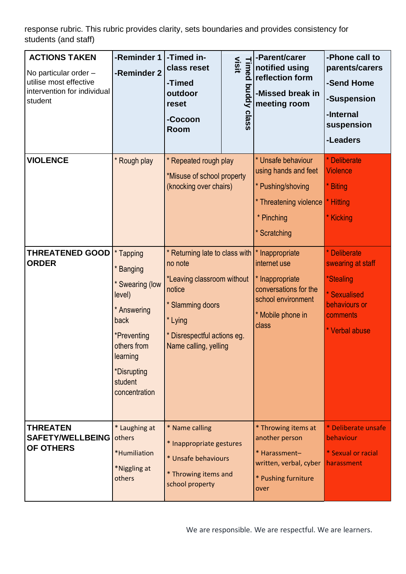response rubric. This rubric provides clarity, sets boundaries and provides consistency for students (and staff)

| <b>ACTIONS TAKEN</b><br>No particular order -<br>utilise most effective<br>intervention for individual<br>student | -Reminder 1<br>-Reminder 2                                                                                                                                      | -Timed in-<br>class reset<br>-Timed<br>outdoor<br>reset<br>-Cocoon<br>Room                                                                                               | visit<br>Timed<br>puday<br>class | -Parent/carer<br>notified using<br>reflection form<br>-Missed break in<br>meeting room                                          | -Phone call to<br>parents/carers<br>-Send Home<br>-Suspension<br>-Internal<br>suspension<br>-Leaders                        |
|-------------------------------------------------------------------------------------------------------------------|-----------------------------------------------------------------------------------------------------------------------------------------------------------------|--------------------------------------------------------------------------------------------------------------------------------------------------------------------------|----------------------------------|---------------------------------------------------------------------------------------------------------------------------------|-----------------------------------------------------------------------------------------------------------------------------|
| <b>VIOLENCE</b>                                                                                                   | * Rough play                                                                                                                                                    | * Repeated rough play<br>*Misuse of school property<br>(knocking over chairs)                                                                                            |                                  | * Unsafe behaviour<br>using hands and feet<br>* Pushing/shoving<br>* Threatening violence<br>* Pinching<br>* Scratching         | * Deliberate<br><b>Violence</b><br>* Biting<br>* Hitting<br>* Kicking                                                       |
| <b>THREATENED GOOD</b><br><b>ORDER</b>                                                                            | * Tapping<br>* Banging<br>* Swearing (low<br>level)<br>* Answering<br>back<br>*Preventing<br>others from<br>learning<br>*Disrupting<br>student<br>concentration | * Returning late to class with<br>no note<br>*Leaving classroom without<br>notice<br>* Slamming doors<br>* Lying<br>* Disrespectful actions eg.<br>Name calling, yelling |                                  | * Inappropriate<br>internet use<br>* Inappropriate<br>conversations for the<br>school environment<br>* Mobile phone in<br>class | * Deliberate<br>swearing at staff<br><i><b>*Stealing</b></i><br>* Sexualised<br>behaviours or<br>comments<br>* Verbal abuse |
| <b>THREATEN</b><br><b>SAFETY/WELLBEING</b><br>OF OTHERS                                                           | * Laughing at<br>others<br>*Humiliation<br>*Niggling at<br>others                                                                                               | * Name calling<br>* Inappropriate gestures<br>* Unsafe behaviours<br>* Throwing items and<br>school property                                                             |                                  | * Throwing items at<br>another person<br>* Harassment-<br>written, verbal, cyber<br>* Pushing furniture<br>over                 | * Deliberate unsafe<br>behaviour<br>* Sexual or racial<br>harassment                                                        |